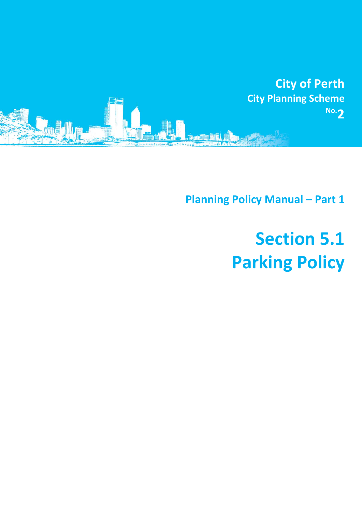

**Planning Policy Manual - Part 1** 

# **Section 5.1 Parking Policy**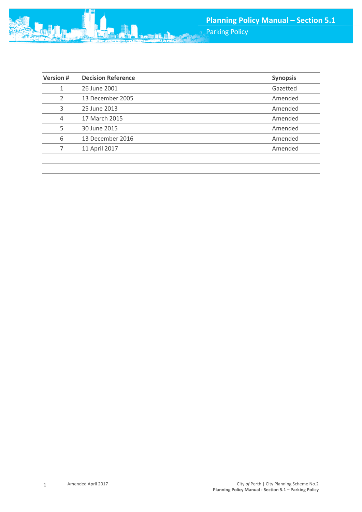Parking Policy

| <b>Version#</b> | <b>Decision Reference</b> | <b>Synopsis</b> |
|-----------------|---------------------------|-----------------|
| 1               | 26 June 2001              | Gazetted        |
| $\overline{2}$  | 13 December 2005          | Amended         |
| 3               | 25 June 2013              | Amended         |
| 4               | 17 March 2015             | Amended         |
| 5               | 30 June 2015              | Amended         |
| 6               | 13 December 2016          | Amended         |
|                 | 11 April 2017             | Amended         |
|                 |                           |                 |

**min**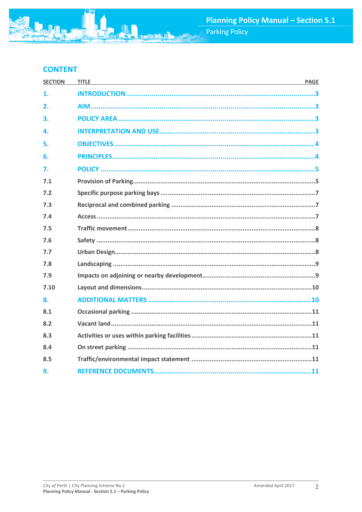# **CONTENT**

| <b>SECTION</b> | <b>TITLE</b><br><u> 1989 - Johann Stoff, amerikansk politiker (d. 1989)</u> | <b>PAGE</b> |
|----------------|-----------------------------------------------------------------------------|-------------|
| 1.             |                                                                             |             |
| 2.             |                                                                             |             |
| 3.             |                                                                             |             |
| 4.             |                                                                             |             |
| 5.             |                                                                             |             |
| 6.             |                                                                             |             |
| 7.             |                                                                             |             |
| 7.1            |                                                                             |             |
| 7.2            |                                                                             |             |
| 7.3            |                                                                             |             |
| 7.4            |                                                                             |             |
| 7.5            |                                                                             |             |
| 7.6            |                                                                             |             |
| 7.7            |                                                                             |             |
| 7.8            |                                                                             |             |
| 7.9            |                                                                             |             |
| 7.10           |                                                                             |             |
| 8.             |                                                                             |             |
| 8.1            |                                                                             |             |
| 8.2            |                                                                             |             |
| 8.3            |                                                                             |             |
| 8.4            |                                                                             |             |
| 8.5            |                                                                             |             |
| 9.             |                                                                             |             |

动胸鼠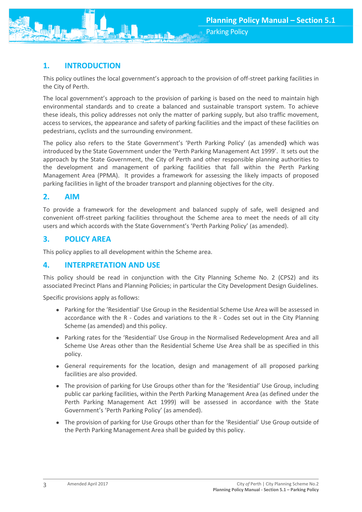<span id="page-3-0"></span>

This policy outlines the local government's approach to the provision of off-street parking facilities in the City of Perth.

The local government's approach to the provision of parking is based on the need to maintain high environmental standards and to create a balanced and sustainable transport system. To achieve these ideals, this policy addresses not only the matter of parking supply, but also traffic movement, access to services, the appearance and safety of parking facilities and the impact of these facilities on pedestrians, cyclists and the surrounding environment.

The policy also refers to the State Government's 'Perth Parking Policy' (as amended**)** which was introduced by the State Government under the 'Perth Parking Management Act 1999'. It sets out the approach by the State Government, the City of Perth and other responsible planning authorities to the development and management of parking facilities that fall within the Perth Parking Management Area (PPMA). It provides a framework for assessing the likely impacts of proposed parking facilities in light of the broader transport and planning objectives for the city.

# <span id="page-3-1"></span>**2. AIM**

To provide a framework for the development and balanced supply of safe, well designed and convenient off-street parking facilities throughout the Scheme area to meet the needs of all city users and which accords with the State Government's 'Perth Parking Policy' (as amended).

# <span id="page-3-2"></span>**3. POLICY AREA**

This policy applies to all development within the Scheme area.

# **4. INTERPRETATION AND USE**

This policy should be read in conjunction with the City Planning Scheme No. 2 (CPS2) and its associated Precinct Plans and Planning Policies; in particular the City Development Design Guidelines.

Specific provisions apply as follows:

- <span id="page-3-3"></span>• Parking for the 'Residential' Use Group in the Residential Scheme Use Area will be assessed in accordance with the R - Codes and variations to the R - Codes set out in the City Planning Scheme (as amended) and this policy.
- Parking rates for the 'Residential' Use Group in the Normalised Redevelopment Area and all Scheme Use Areas other than the Residential Scheme Use Area shall be as specified in this policy.
- General requirements for the location, design and management of all proposed parking facilities are also provided.
- The provision of parking for Use Groups other than for the 'Residential' Use Group, including public car parking facilities, within the Perth Parking Management Area (as defined under the Perth Parking Management Act 1999) will be assessed in accordance with the State Government's 'Perth Parking Policy' (as amended).
- The provision of parking for Use Groups other than for the 'Residential' Use Group outside of the Perth Parking Management Area shall be guided by this policy.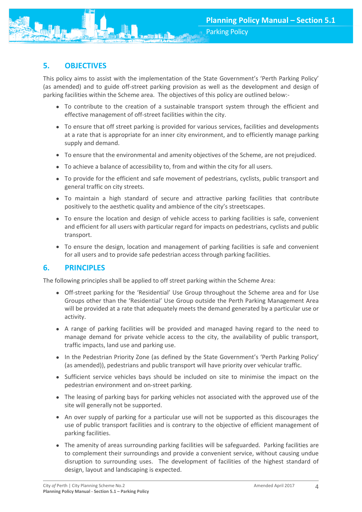

# <span id="page-4-0"></span>**5. OBJECTIVES**

This policy aims to assist with the implementation of the State Government's 'Perth Parking Policy' (as amended) and to guide off-street parking provision as well as the development and design of parking facilities within the Scheme area. The objectives of this policy are outlined below:-

- To contribute to the creation of a sustainable transport system through the efficient and effective management of off-street facilities within the city.
- To ensure that off street parking is provided for various services, facilities and developments at a rate that is appropriate for an inner city environment, and to efficiently manage parking supply and demand.
- To ensure that the environmental and amenity objectives of the Scheme, are not prejudiced.
- To achieve a balance of accessibility to, from and within the city for all users.
- To provide for the efficient and safe movement of pedestrians, cyclists, public transport and general traffic on city streets.
- To maintain a high standard of secure and attractive parking facilities that contribute positively to the aesthetic quality and ambience of the city's streetscapes.
- To ensure the location and design of vehicle access to parking facilities is safe, convenient and efficient for all users with particular regard for impacts on pedestrians, cyclists and public transport.
- <span id="page-4-1"></span>• To ensure the design, location and management of parking facilities is safe and convenient for all users and to provide safe pedestrian access through parking facilities.

# **6. PRINCIPLES**

The following principles shall be applied to off street parking within the Scheme Area:

- Off-street parking for the 'Residential' Use Group throughout the Scheme area and for Use Groups other than the 'Residential' Use Group outside the Perth Parking Management Area will be provided at a rate that adequately meets the demand generated by a particular use or activity.
- A range of parking facilities will be provided and managed having regard to the need to manage demand for private vehicle access to the city, the availability of public transport, traffic impacts, land use and parking use.
- In the Pedestrian Priority Zone (as defined by the State Government's 'Perth Parking Policy' (as amended)), pedestrians and public transport will have priority over vehicular traffic.
- Sufficient service vehicles bays should be included on site to minimise the impact on the pedestrian environment and on-street parking.
- The leasing of parking bays for parking vehicles not associated with the approved use of the site will generally not be supported.
- An over supply of parking for a particular use will not be supported as this discourages the use of public transport facilities and is contrary to the objective of efficient management of parking facilities.
- The amenity of areas surrounding parking facilities will be safeguarded. Parking facilities are to complement their surroundings and provide a convenient service, without causing undue disruption to surrounding uses. The development of facilities of the highest standard of design, layout and landscaping is expected.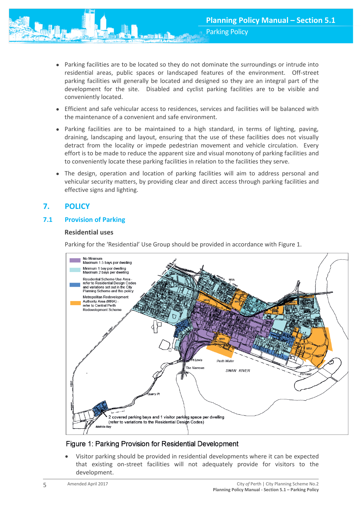- Parking facilities are to be located so they do not dominate the surroundings or intrude into residential areas, public spaces or landscaped features of the environment. Off-street parking facilities will generally be located and designed so they are an integral part of the development for the site. Disabled and cyclist parking facilities are to be visible and conveniently located.
- Efficient and safe vehicular access to residences, services and facilities will be balanced with the maintenance of a convenient and safe environment.
- Parking facilities are to be maintained to a high standard, in terms of lighting, paving, draining, landscaping and layout, ensuring that the use of these facilities does not visually detract from the locality or impede pedestrian movement and vehicle circulation. Every effort is to be made to reduce the apparent size and visual monotony of parking facilities and to conveniently locate these parking facilities in relation to the facilities they serve.
- The design, operation and location of parking facilities will aim to address personal and vehicular security matters, by providing clear and direct access through parking facilities and effective signs and lighting.

# <span id="page-5-0"></span>**7. POLICY**

# <span id="page-5-1"></span>**7.1 Provision of Parking**

#### **Residential uses**

Parking for the 'Residential' Use Group should be provided in accordance with Figure 1.



# Figure 1: Parking Provision for Residential Development

 Visitor parking should be provided in residential developments where it can be expected that existing on-street facilities will not adequately provide for visitors to the development.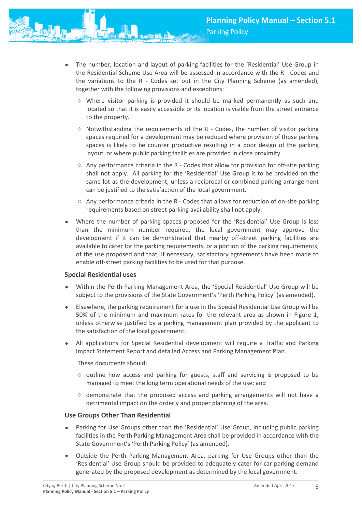- The number, location and layout of parking facilities for the 'Residential' Use Group in the Residential Scheme Use Area will be assessed in accordance with the R - Codes and the variations to the R - Codes set out in the City Planning Scheme (as amended), together with the following provisions and exceptions:
	- o Where visitor parking is provided it should be marked permanently as such and located so that it is easily accessible or its location is visible from the street entrance to the property.
	- o Notwithstanding the requirements of the R Codes, the number of visitor parking spaces required for a development may be reduced where provision of those parking spaces is likely to be counter productive resulting in a poor design of the parking layout, or where public parking facilities are provided in close proximity.
	- $\circ$  Any performance criteria in the R Codes that allow for provision for off-site parking shall not apply. All parking for the 'Residential' Use Group is to be provided on the same lot as the development, unless a reciprocal or combined parking arrangement can be justified to the satisfaction of the local government.
	- o Any performance criteria in the R Codes that allows for reduction of on-site parking requirements based on street parking availability shall not apply.
- Where the number of parking spaces proposed for the 'Residential' Use Group is less than the minimum number required, the local government may approve the development if it can be demonstrated that nearby off-street parking facilities are available to cater for the parking requirements, or a portion of the parking requirements, of the use proposed and that, if necessary, satisfactory agreements have been made to enable off-street parking facilities to be used for that purpose.

#### **Special Residential uses**

- Within the Perth Parking Management Area, the 'Special Residential' Use Group will be subject to the provisions of the State Government's 'Perth Parking Policy' (as amended).
- Elsewhere, the parking requirement for a use in the Special Residential Use Group will be 50% of the minimum and maximum rates for the relevant area as shown in Figure 1, unless otherwise justified by a parking management plan provided by the applicant to the satisfaction of the local government.
- All applications for Special Residential development will require a Traffic and Parking Impact Statement Report and detailed Access and Parking Management Plan.

These documents should:

- o outline how access and parking for guests, staff and servicing is proposed to be managed to meet the long term operational needs of the use; and
- o demonstrate that the proposed access and parking arrangements will not have a detrimental impact on the orderly and proper planning of the area.

#### **Use Groups Other Than Residential**

- Parking for Use Groups other than the 'Residential' Use Group, including public parking facilities in the Perth Parking Management Area shall be provided in accordance with the State Government's 'Perth Parking Policy' (as amended).
- Outside the Perth Parking Management Area, parking for Use Groups other than the 'Residential' Use Group should be provided to adequately cater for car parking demand generated by the proposed development as determined by the local government.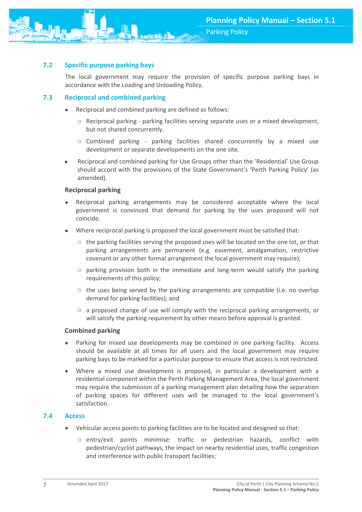Parking Policy

#### <span id="page-7-0"></span>**7.2 Specific purpose parking bays**

The local government may require the provision of specific purpose parking bays in accordance with the Loading and Unloading Policy.

#### <span id="page-7-1"></span>**7.3 Reciprocal and combined parking**

- Reciprocal and combined parking are defined as follows:
	- o Reciprocal parking parking facilities serving separate uses or a mixed development, but not shared concurrently.
	- $\circ$  Combined parking parking facilities shared concurrently by a mixed use development or separate developments on the one site.
- Reciprocal and combined parking for Use Groups other than the 'Residential' Use Group should accord with the provisions of the State Government's 'Perth Parking Policy' (as amended).

#### **Reciprocal parking**

- Reciprocal parking arrangements may be considered acceptable where the local government is convinced that demand for parking by the uses proposed will not coincide.
- Where reciprocal parking is proposed the local government must be satisfied that:
	- o the parking facilities serving the proposed uses will be located on the one lot, or that parking arrangements are permanent (e.g. easement, amalgamation, restrictive covenant or any other formal arrangement the local government may require);
	- $\circ$  parking provision both in the immediate and long-term would satisfy the parking requirements of this policy;
	- $\circ$  the uses being served by the parking arrangements are compatible (i.e. no overlap demand for parking facilities); and
	- $\circ$  a proposed change of use will comply with the reciprocal parking arrangements, or will satisfy the parking requirement by other means before approval is granted.

#### **Combined parking**

- Parking for mixed use developments may be combined in one parking facility. Access should be available at all times for all users and the local government may require parking bays to be marked for a particular purpose to ensure that access is not restricted.
- Where a mixed use development is proposed, in particular a development with a residential component within the Perth Parking Management Area, the local government may require the submission of a parking management plan detailing how the separation of parking spaces for different uses will be managed to the local government's satisfaction.

#### <span id="page-7-2"></span>**7.4 Access**

- Vehicular access points to parking facilities are to be located and designed so that:
	- o entry/exit points minimise: traffic or pedestrian hazards, conflict with pedestrian/cyclist pathways, the impact on nearby residential uses, traffic congestion and interference with public transport facilities;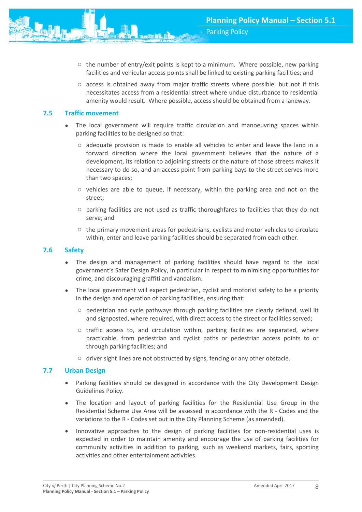- $\circ$  the number of entry/exit points is kept to a minimum. Where possible, new parking facilities and vehicular access points shall be linked to existing parking facilities; and
- $\circ$  access is obtained away from major traffic streets where possible, but not if this necessitates access from a residential street where undue disturbance to residential amenity would result. Where possible, access should be obtained from a laneway.

#### <span id="page-8-0"></span>**7.5 Traffic movement**

- The local government will require traffic circulation and manoeuvring spaces within parking facilities to be designed so that:
	- $\circ$  adequate provision is made to enable all vehicles to enter and leave the land in a forward direction where the local government believes that the nature of a development, its relation to adjoining streets or the nature of those streets makes it necessary to do so, and an access point from parking bays to the street serves more than two spaces;
	- o vehicles are able to queue, if necessary, within the parking area and not on the street;
	- $\circ$  parking facilities are not used as traffic thoroughfares to facilities that they do not serve; and
	- $\circ$  the primary movement areas for pedestrians, cyclists and motor vehicles to circulate within, enter and leave parking facilities should be separated from each other.

#### <span id="page-8-1"></span>**7.6 Safety**

- The design and management of parking facilities should have regard to the local government's Safer Design Policy, in particular in respect to minimising opportunities for crime, and discouraging graffiti and vandalism.
- The local government will expect pedestrian, cyclist and motorist safety to be a priority in the design and operation of parking facilities, ensuring that:
	- o pedestrian and cycle pathways through parking facilities are clearly defined, well lit and signposted, where required, with direct access to the street or facilities served;
	- o traffic access to, and circulation within, parking facilities are separated, where practicable, from pedestrian and cyclist paths or pedestrian access points to or through parking facilities; and
	- o driver sight lines are not obstructed by signs, fencing or any other obstacle.

#### <span id="page-8-2"></span>**7.7 Urban Design**

- Parking facilities should be designed in accordance with the City Development Design Guidelines Policy.
- The location and layout of parking facilities for the Residential Use Group in the Residential Scheme Use Area will be assessed in accordance with the R - Codes and the variations to the R - Codes set out in the City Planning Scheme (as amended).
- Innovative approaches to the design of parking facilities for non-residential uses is expected in order to maintain amenity and encourage the use of parking facilities for community activities in addition to parking, such as weekend markets, fairs, sporting activities and other entertainment activities.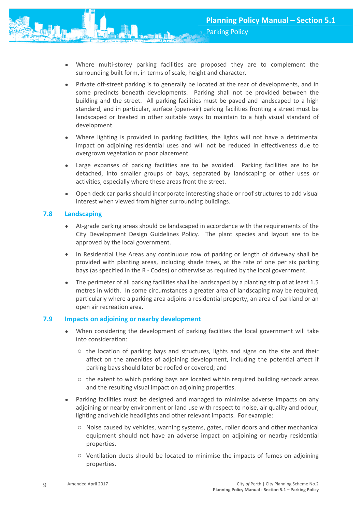- Where multi-storey parking facilities are proposed they are to complement the surrounding built form, in terms of scale, height and character.
- Private off-street parking is to generally be located at the rear of developments, and in some precincts beneath developments. Parking shall not be provided between the building and the street. All parking facilities must be paved and landscaped to a high standard, and in particular, surface (open-air) parking facilities fronting a street must be landscaped or treated in other suitable ways to maintain to a high visual standard of development.
- Where lighting is provided in parking facilities, the lights will not have a detrimental impact on adjoining residential uses and will not be reduced in effectiveness due to overgrown vegetation or poor placement.
- Large expanses of parking facilities are to be avoided. Parking facilities are to be detached, into smaller groups of bays, separated by landscaping or other uses or activities, especially where these areas front the street.
- Open deck car parks should incorporate interesting shade or roof structures to add visual interest when viewed from higher surrounding buildings.

#### <span id="page-9-0"></span>**7.8 Landscaping**

- At-grade parking areas should be landscaped in accordance with the requirements of the City Development Design Guidelines Policy. The plant species and layout are to be approved by the local government.
- In Residential Use Areas any continuous row of parking or length of driveway shall be provided with planting areas, including shade trees, at the rate of one per six parking bays (as specified in the R - Codes) or otherwise as required by the local government.
- The perimeter of all parking facilities shall be landscaped by a planting strip of at least 1.5 metres in width. In some circumstances a greater area of landscaping may be required, particularly where a parking area adjoins a residential property, an area of parkland or an open air recreation area.

#### <span id="page-9-1"></span>**7.9 Impacts on adjoining or nearby development**

- When considering the development of parking facilities the local government will take into consideration:
	- $\circ$  the location of parking bays and structures, lights and signs on the site and their affect on the amenities of adjoining development, including the potential affect if parking bays should later be roofed or covered; and
	- $\circ$  the extent to which parking bays are located within required building setback areas and the resulting visual impact on adjoining properties.
- Parking facilities must be designed and managed to minimise adverse impacts on any adjoining or nearby environment or land use with respect to noise, air quality and odour, lighting and vehicle headlights and other relevant impacts. For example:
	- o Noise caused by vehicles, warning systems, gates, roller doors and other mechanical equipment should not have an adverse impact on adjoining or nearby residential properties.
	- o Ventilation ducts should be located to minimise the impacts of fumes on adjoining properties.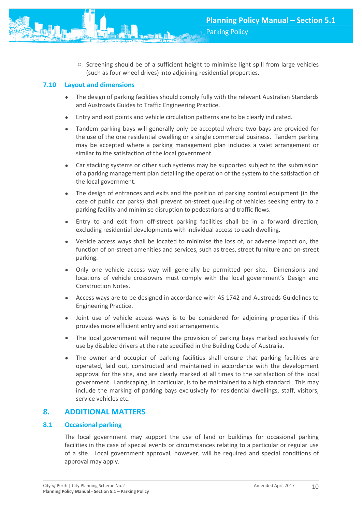

#### <span id="page-10-0"></span>**7.10 Layout and dimensions**

- The design of parking facilities should comply fully with the relevant Australian Standards and Austroads Guides to Traffic Engineering Practice.
- Entry and exit points and vehicle circulation patterns are to be clearly indicated.
- Tandem parking bays will generally only be accepted where two bays are provided for the use of the one residential dwelling or a single commercial business. Tandem parking may be accepted where a parking management plan includes a valet arrangement or similar to the satisfaction of the local government.
- Car stacking systems or other such systems may be supported subject to the submission of a parking management plan detailing the operation of the system to the satisfaction of the local government.
- The design of entrances and exits and the position of parking control equipment (in the case of public car parks) shall prevent on-street queuing of vehicles seeking entry to a parking facility and minimise disruption to pedestrians and traffic flows.
- Entry to and exit from off-street parking facilities shall be in a forward direction, excluding residential developments with individual access to each dwelling.
- Vehicle access ways shall be located to minimise the loss of, or adverse impact on, the function of on-street amenities and services, such as trees, street furniture and on-street parking.
- Only one vehicle access way will generally be permitted per site. Dimensions and locations of vehicle crossovers must comply with the local government's Design and Construction Notes.
- Access ways are to be designed in accordance with AS 1742 and Austroads Guidelines to Engineering Practice.
- Joint use of vehicle access ways is to be considered for adjoining properties if this provides more efficient entry and exit arrangements.
- The local government will require the provision of parking bays marked exclusively for use by disabled drivers at the rate specified in the Building Code of Australia.
- The owner and occupier of parking facilities shall ensure that parking facilities are operated, laid out, constructed and maintained in accordance with the development approval for the site, and are clearly marked at all times to the satisfaction of the local government. Landscaping, in particular, is to be maintained to a high standard. This may include the marking of parking bays exclusively for residential dwellings, staff, visitors, service vehicles etc.

## <span id="page-10-1"></span>**8. ADDITIONAL MATTERS**

#### **8.1 Occasional parking**

The local government may support the use of land or buildings for occasional parking facilities in the case of special events or circumstances relating to a particular or regular use of a site. Local government approval, however, will be required and special conditions of approval may apply.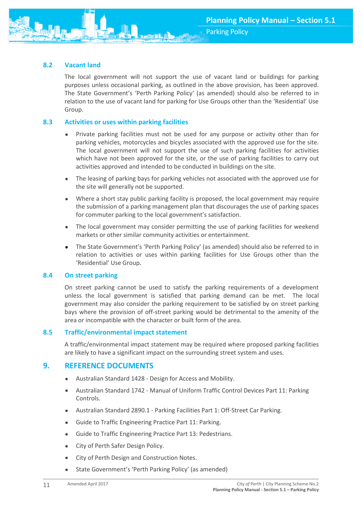## <span id="page-11-0"></span>**8.2 Vacant land**

The local government will not support the use of vacant land or buildings for parking purposes unless occasional parking, as outlined in the above provision, has been approved. The State Government's 'Perth Parking Policy' (as amended) should also be referred to in relation to the use of vacant land for parking for Use Groups other than the 'Residential' Use Group.

#### <span id="page-11-1"></span>**8.3 Activities or uses within parking facilities**

- Private parking facilities must not be used for any purpose or activity other than for parking vehicles, motorcycles and bicycles associated with the approved use for the site. The local government will not support the use of such parking facilities for activities which have not been approved for the site, or the use of parking facilities to carry out activities approved and intended to be conducted in buildings on the site.
- The leasing of parking bays for parking vehicles not associated with the approved use for the site will generally not be supported.
- Where a short stay public parking facility is proposed, the local government may require the submission of a parking management plan that discourages the use of parking spaces for commuter parking to the local government's satisfaction.
- The local government may consider permitting the use of parking facilities for weekend markets or other similar community activities or entertainment.
- The State Government's 'Perth Parking Policy' (as amended) should also be referred to in relation to activities or uses within parking facilities for Use Groups other than the 'Residential' Use Group.

#### <span id="page-11-2"></span>**8.4 On street parking**

On street parking cannot be used to satisfy the parking requirements of a development unless the local government is satisfied that parking demand can be met. The local government may also consider the parking requirement to be satisfied by on street parking bays where the provision of off-street parking would be detrimental to the amenity of the area or incompatible with the character or built form of the area.

#### <span id="page-11-3"></span>**8.5 Traffic/environmental impact statement**

A traffic/environmental impact statement may be required where proposed parking facilities are likely to have a significant impact on the surrounding street system and uses.

#### <span id="page-11-4"></span>**9. REFERENCE DOCUMENTS**

- Australian Standard 1428 Design for Access and Mobility.
- Australian Standard 1742 Manual of Uniform Traffic Control Devices Part 11: Parking Controls.
- Australian Standard 2890.1 Parking Facilities Part 1: Off-Street Car Parking.
- Guide to Traffic Engineering Practice Part 11: Parking.
- Guide to Traffic Engineering Practice Part 13: Pedestrians.
- City of Perth Safer Design Policy.
- City of Perth Design and Construction Notes.
- State Government's 'Perth Parking Policy' (as amended)